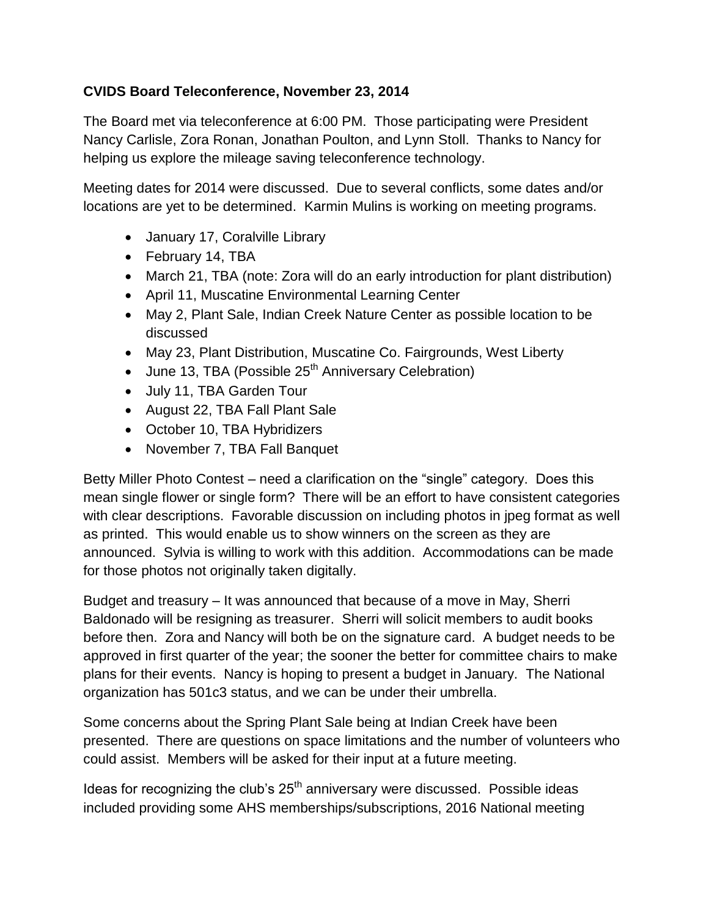## **CVIDS Board Teleconference, November 23, 2014**

The Board met via teleconference at 6:00 PM. Those participating were President Nancy Carlisle, Zora Ronan, Jonathan Poulton, and Lynn Stoll. Thanks to Nancy for helping us explore the mileage saving teleconference technology.

Meeting dates for 2014 were discussed. Due to several conflicts, some dates and/or locations are yet to be determined. Karmin Mulins is working on meeting programs.

- January 17, Coralville Library
- February 14, TBA
- March 21, TBA (note: Zora will do an early introduction for plant distribution)
- April 11, Muscatine Environmental Learning Center
- May 2, Plant Sale, Indian Creek Nature Center as possible location to be discussed
- May 23, Plant Distribution, Muscatine Co. Fairgrounds, West Liberty
- $\bullet$  June 13, TBA (Possible 25<sup>th</sup> Anniversary Celebration)
- July 11, TBA Garden Tour
- August 22, TBA Fall Plant Sale
- October 10, TBA Hybridizers
- November 7, TBA Fall Banquet

Betty Miller Photo Contest – need a clarification on the "single" category. Does this mean single flower or single form? There will be an effort to have consistent categories with clear descriptions. Favorable discussion on including photos in jpeg format as well as printed. This would enable us to show winners on the screen as they are announced. Sylvia is willing to work with this addition. Accommodations can be made for those photos not originally taken digitally.

Budget and treasury – It was announced that because of a move in May, Sherri Baldonado will be resigning as treasurer. Sherri will solicit members to audit books before then. Zora and Nancy will both be on the signature card. A budget needs to be approved in first quarter of the year; the sooner the better for committee chairs to make plans for their events. Nancy is hoping to present a budget in January. The National organization has 501c3 status, and we can be under their umbrella.

Some concerns about the Spring Plant Sale being at Indian Creek have been presented. There are questions on space limitations and the number of volunteers who could assist. Members will be asked for their input at a future meeting.

Ideas for recognizing the club's  $25<sup>th</sup>$  anniversary were discussed. Possible ideas included providing some AHS memberships/subscriptions, 2016 National meeting